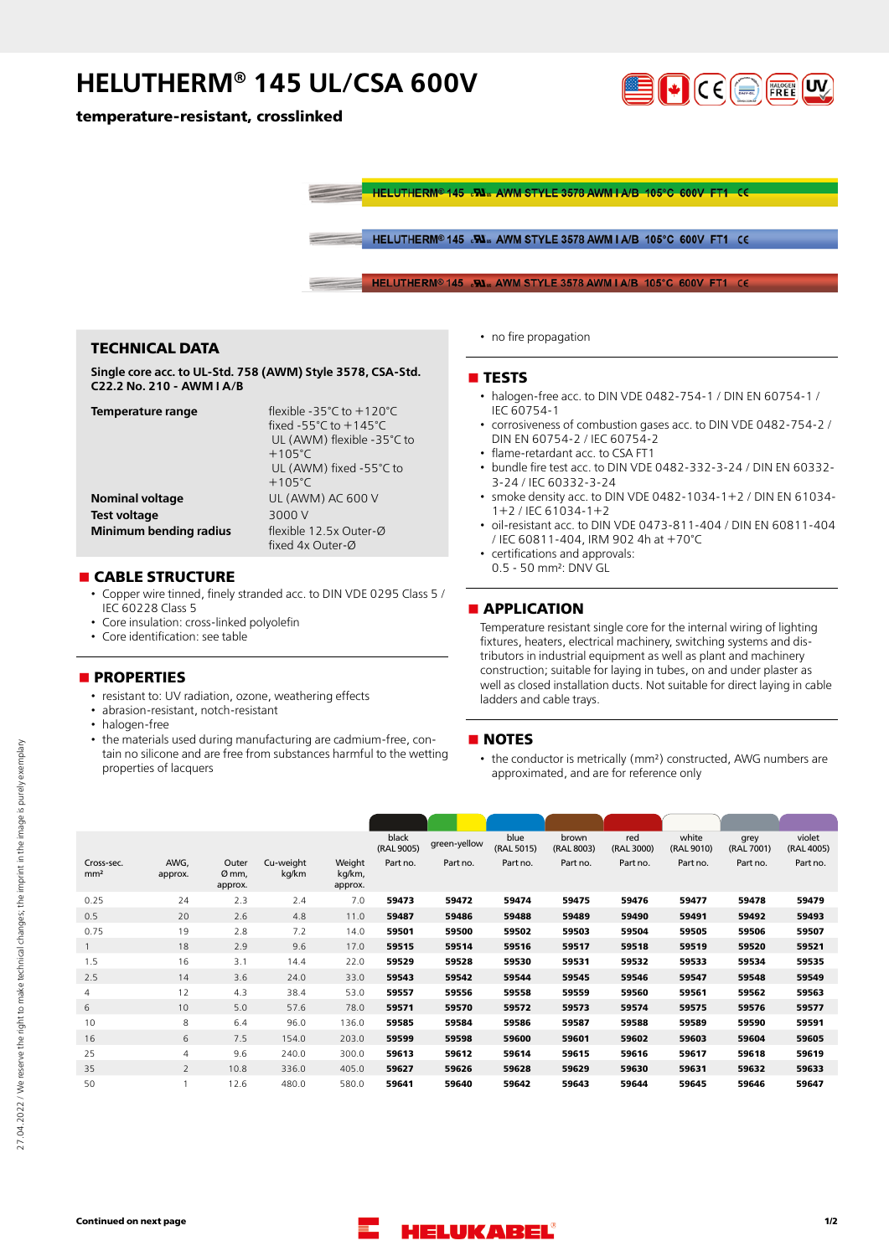## **HELUTHERM® 145 UL/CSA 600V**

**temperature-resistant, crosslinked**



HELUTHERM<sup>®</sup> 145 .W. AWM STYLE 3578 AWM LA/B 105°C 600V FT1 CE

HELUTHERM® 145 .Www.AWM STYLE 3578 AWM I A/B 105°C 600V FT1 CE

HELUTHERM<sup>®</sup> 145 RM<sub>w</sub> AWM STYLE 3578 AWM I A/B 105°C 600V FT1

## **TECHNICAL DATA**

**Single core acc. to UL-Std. 758 (AWM) Style 3578, CSA-Std. C22.2 No. 210 - AWM I A/B**

| Temperature range      | flexible -35 $^{\circ}$ C to $+120^{\circ}$ C |
|------------------------|-----------------------------------------------|
|                        | fixed -55 $^{\circ}$ C to +145 $^{\circ}$ C   |
|                        | UL (AWM) flexible -35°C to                    |
|                        | $+105^{\circ}$ C                              |
|                        | UL (AWM) fixed -55°C to                       |
|                        | $+105^{\circ}$ C                              |
| <b>Nominal voltage</b> | UL (AWM) AC 600 V                             |
| <b>Test voltage</b>    | 3000 V                                        |
| Minimum bending radius | flexible 12.5x Outer-Ø                        |
|                        | fixed 4x Outer-Ø                              |

#### **n** CABLE STRUCTURE

- Copper wire tinned, finely stranded acc. to DIN VDE 0295 Class 5 / IEC 60228 Class 5
- Core insulation: cross-linked polyolefin
- Core identification: see table

## **nPROPERTIES**

- resistant to: UV radiation, ozone, weathering effects
- abrasion-resistant, notch-resistant
- halogen-free
- the materials used during manufacturing are cadmium-free, contain no silicone and are free from substances harmful to the wetting properties of lacquers

• no fire propagation

#### **n** TESTS

- halogen-free acc. to DIN VDE 0482-754-1 / DIN EN 60754-1 / IEC 60754-1
- corrosiveness of combustion gases acc. to DIN VDE 0482-754-2 / DIN EN 60754-2 / IEC 60754-2
- flame-retardant acc. to CSA FT1
- bundle fire test acc. to DIN VDE 0482-332-3-24 / DIN EN 60332- 3-24 / IEC 60332-3-24
- smoke density acc. to DIN VDE 0482-1034-1+2 / DIN EN 61034- 1+2 / IEC 61034-1+2
- oil-resistant acc. to DIN VDE 0473-811-404 / DIN EN 60811-404 / IEC 60811-404, IRM 902 4h at +70°C
- certifications and approvals:
- 0.5 50 mm²: DNV GL

## **nAPPLICATION**

Temperature resistant single core for the internal wiring of lighting fixtures, heaters, electrical machinery, switching systems and distributors in industrial equipment as well as plant and machinery construction; suitable for laying in tubes, on and under plaster as well as closed installation ducts. Not suitable for direct laying in cable ladders and cable trays.

## **NOTES**

• the conductor is metrically (mm²) constructed, AWG numbers are approximated, and are for reference only

|                          |                           |                    |                             | black<br>(RAL 9005) | green-yellow | blue<br>(RAL 5015) | brown<br>(RAL 8003) | red<br>(RAL 3000) | white<br>(RAL 9010) | grey<br>(RAL 7001) | violet<br>(RAL 4005) |
|--------------------------|---------------------------|--------------------|-----------------------------|---------------------|--------------|--------------------|---------------------|-------------------|---------------------|--------------------|----------------------|
| AWG,<br>approx.          | Outer<br>Ø mm,<br>approx. | Cu-weight<br>kg/km | Weight<br>kg/km,<br>approx. | Part no.            | Part no.     | Part no.           | Part no.            | Part no.          | Part no.            | Part no.           | Part no.             |
| 24                       | 2.3                       | 2.4                | 7.0                         | 59473               | 59472        | 59474              | 59475               | 59476             | 59477               | 59478              | 59479                |
| 20                       | 2.6                       | 4.8                | 11.0                        | 59487               | 59486        | 59488              | 59489               | 59490             | 59491               | 59492              | 59493                |
| 19                       | 2.8                       | 7.2                | 14.0                        | 59501               | 59500        | 59502              | 59503               | 59504             | 59505               | 59506              | 59507                |
| 18                       | 2.9                       | 9.6                | 17.0                        | 59515               | 59514        | 59516              | 59517               | 59518             | 59519               | 59520              | 59521                |
| 16                       | 3.1                       | 14.4               | 22.0                        | 59529               | 59528        | 59530              | 59531               | 59532             | 59533               | 59534              | 59535                |
| 14                       | 3.6                       | 24.0               | 33.0                        | 59543               | 59542        | 59544              | 59545               | 59546             | 59547               | 59548              | 59549                |
| 12                       | 4.3                       | 38.4               | 53.0                        | 59557               | 59556        | 59558              | 59559               | 59560             | 59561               | 59562              | 59563                |
| 10                       | 5.0                       | 57.6               | 78.0                        | 59571               | 59570        | 59572              | 59573               | 59574             | 59575               | 59576              | 59577                |
| 8                        | 6.4                       | 96.0               | 136.0                       | 59585               | 59584        | 59586              | 59587               | 59588             | 59589               | 59590              | 59591                |
| 6                        | 7.5                       | 154.0              | 203.0                       | 59599               | 59598        | 59600              | 59601               | 59602             | 59603               | 59604              | 59605                |
| $\overline{4}$           | 9.6                       | 240.0              | 300.0                       | 59613               | 59612        | 59614              | 59615               | 59616             | 59617               | 59618              | 59619                |
| $\overline{\phantom{a}}$ | 10.8                      | 336.0              | 405.0                       | 59627               | 59626        | 59628              | 59629               | 59630             | 59631               | 59632              | 59633                |
| $\mathbf{1}$             | 12.6                      | 480.0              | 580.0                       | 59641               | 59640        | 59642              | 59643               | 59644             | 59645               | 59646              | 59647                |
|                          |                           |                    |                             |                     |              |                    |                     |                   |                     |                    |                      |